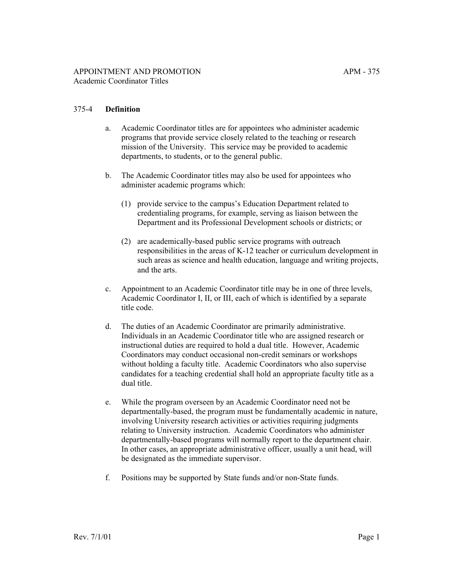## 375-4 **Definition**

- a. Academic Coordinator titles are for appointees who administer academic programs that provide service closely related to the teaching or research mission of the University. This service may be provided to academic departments, to students, or to the general public.
- b. The Academic Coordinator titles may also be used for appointees who administer academic programs which:
	- (1) provide service to the campus's Education Department related to credentialing programs, for example, serving as liaison between the Department and its Professional Development schools or districts; or
	- (2) are academically-based public service programs with outreach responsibilities in the areas of K-12 teacher or curriculum development in such areas as science and health education, language and writing projects, and the arts.
- c. Appointment to an Academic Coordinator title may be in one of three levels, Academic Coordinator I, II, or III, each of which is identified by a separate title code.
- d. The duties of an Academic Coordinator are primarily administrative. Individuals in an Academic Coordinator title who are assigned research or instructional duties are required to hold a dual title. However, Academic Coordinators may conduct occasional non-credit seminars or workshops without holding a faculty title. Academic Coordinators who also supervise candidates for a teaching credential shall hold an appropriate faculty title as a dual title.
- e. While the program overseen by an Academic Coordinator need not be departmentally-based, the program must be fundamentally academic in nature, involving University research activities or activities requiring judgments relating to University instruction. Academic Coordinators who administer departmentally-based programs will normally report to the department chair. In other cases, an appropriate administrative officer, usually a unit head, will be designated as the immediate supervisor.
- f. Positions may be supported by State funds and/or non-State funds.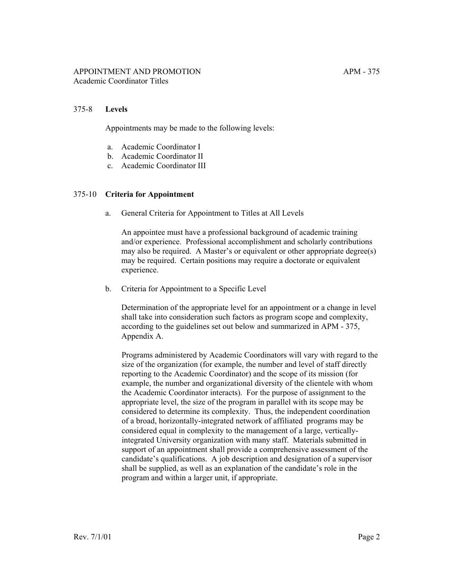## 375-8 **Levels**

Appointments may be made to the following levels:

- a. Academic Coordinator I
- b. Academic Coordinator II
- c. Academic Coordinator III

## 375-10 **Criteria for Appointment**

a. General Criteria for Appointment to Titles at All Levels

An appointee must have a professional background of academic training and/or experience. Professional accomplishment and scholarly contributions may also be required. A Master's or equivalent or other appropriate degree(s) may be required. Certain positions may require a doctorate or equivalent experience.

b. Criteria for Appointment to a Specific Level

Determination of the appropriate level for an appointment or a change in level shall take into consideration such factors as program scope and complexity, according to the guidelines set out below and summarized in APM - 375, Appendix A.

Programs administered by Academic Coordinators will vary with regard to the size of the organization (for example, the number and level of staff directly reporting to the Academic Coordinator) and the scope of its mission (for example, the number and organizational diversity of the clientele with whom the Academic Coordinator interacts). For the purpose of assignment to the appropriate level, the size of the program in parallel with its scope may be considered to determine its complexity. Thus, the independent coordination of a broad, horizontally-integrated network of affiliated programs may be considered equal in complexity to the management of a large, verticallyintegrated University organization with many staff. Materials submitted in support of an appointment shall provide a comprehensive assessment of the candidate's qualifications. A job description and designation of a supervisor shall be supplied, as well as an explanation of the candidate's role in the program and within a larger unit, if appropriate.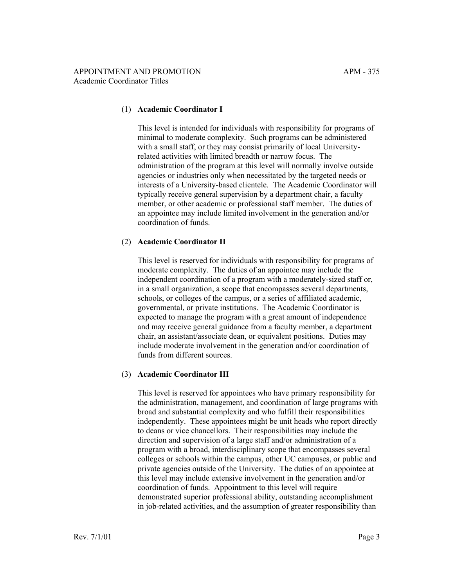## (1) **Academic Coordinator I**

This level is intended for individuals with responsibility for programs of minimal to moderate complexity. Such programs can be administered with a small staff, or they may consist primarily of local Universityrelated activities with limited breadth or narrow focus. The administration of the program at this level will normally involve outside agencies or industries only when necessitated by the targeted needs or interests of a University-based clientele. The Academic Coordinator will typically receive general supervision by a department chair, a faculty member, or other academic or professional staff member. The duties of an appointee may include limited involvement in the generation and/or coordination of funds.

## (2) **Academic Coordinator II**

This level is reserved for individuals with responsibility for programs of moderate complexity. The duties of an appointee may include the independent coordination of a program with a moderately-sized staff or, in a small organization, a scope that encompasses several departments, schools, or colleges of the campus, or a series of affiliated academic, governmental, or private institutions. The Academic Coordinator is expected to manage the program with a great amount of independence and may receive general guidance from a faculty member, a department chair, an assistant/associate dean, or equivalent positions. Duties may include moderate involvement in the generation and/or coordination of funds from different sources.

# (3) **Academic Coordinator III**

This level is reserved for appointees who have primary responsibility for the administration, management, and coordination of large programs with broad and substantial complexity and who fulfill their responsibilities independently. These appointees might be unit heads who report directly to deans or vice chancellors. Their responsibilities may include the direction and supervision of a large staff and/or administration of a program with a broad, interdisciplinary scope that encompasses several colleges or schools within the campus, other UC campuses, or public and private agencies outside of the University. The duties of an appointee at this level may include extensive involvement in the generation and/or coordination of funds. Appointment to this level will require demonstrated superior professional ability, outstanding accomplishment in job-related activities, and the assumption of greater responsibility than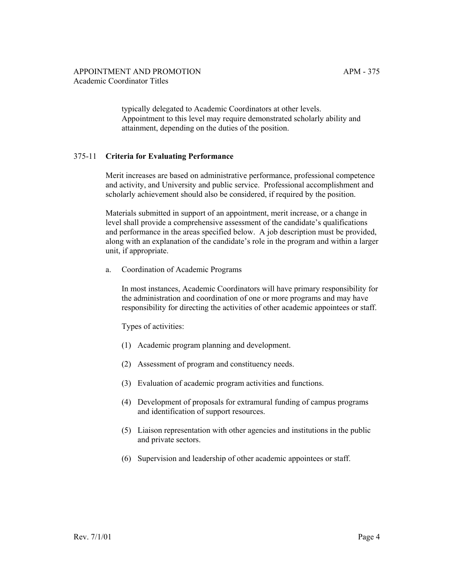typically delegated to Academic Coordinators at other levels. Appointment to this level may require demonstrated scholarly ability and attainment, depending on the duties of the position.

## 375-11 **Criteria for Evaluating Performance**

Merit increases are based on administrative performance, professional competence and activity, and University and public service. Professional accomplishment and scholarly achievement should also be considered, if required by the position.

Materials submitted in support of an appointment, merit increase, or a change in level shall provide a comprehensive assessment of the candidate's qualifications and performance in the areas specified below. A job description must be provided, along with an explanation of the candidate's role in the program and within a larger unit, if appropriate.

a. Coordination of Academic Programs

In most instances, Academic Coordinators will have primary responsibility for the administration and coordination of one or more programs and may have responsibility for directing the activities of other academic appointees or staff.

Types of activities:

- (1) Academic program planning and development.
- (2) Assessment of program and constituency needs.
- (3) Evaluation of academic program activities and functions.
- (4) Development of proposals for extramural funding of campus programs and identification of support resources.
- (5) Liaison representation with other agencies and institutions in the public and private sectors.
- (6) Supervision and leadership of other academic appointees or staff.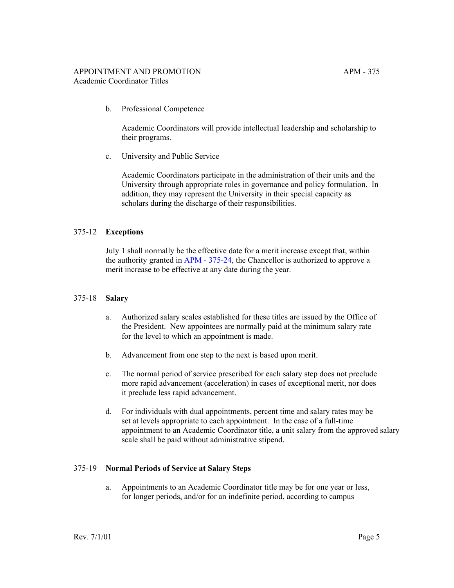b. Professional Competence

Academic Coordinators will provide intellectual leadership and scholarship to their programs.

c. University and Public Service

Academic Coordinators participate in the administration of their units and the University through appropriate roles in governance and policy formulation. In addition, they may represent the University in their special capacity as scholars during the discharge of their responsibilities.

# 375-12 **Exceptions**

July 1 shall normally be the effective date for a merit increase except that, within the authority granted in [APM - 375-24](http://ucop.edu/academic-personnel-programs/_files/apm/apm-375.pdf), the Chancellor is authorized to approve a merit increase to be effective at any date during the year.

# 375-18 **Salary**

- a. Authorized salary scales established for these titles are issued by the Office of the President. New appointees are normally paid at the minimum salary rate for the level to which an appointment is made.
- b. Advancement from one step to the next is based upon merit.
- c. The normal period of service prescribed for each salary step does not preclude more rapid advancement (acceleration) in cases of exceptional merit, nor does it preclude less rapid advancement.
- d. For individuals with dual appointments, percent time and salary rates may be set at levels appropriate to each appointment. In the case of a full-time appointment to an Academic Coordinator title, a unit salary from the approved salary scale shall be paid without administrative stipend.

## 375-19 **Normal Periods of Service at Salary Steps**

a. Appointments to an Academic Coordinator title may be for one year or less, for longer periods, and/or for an indefinite period, according to campus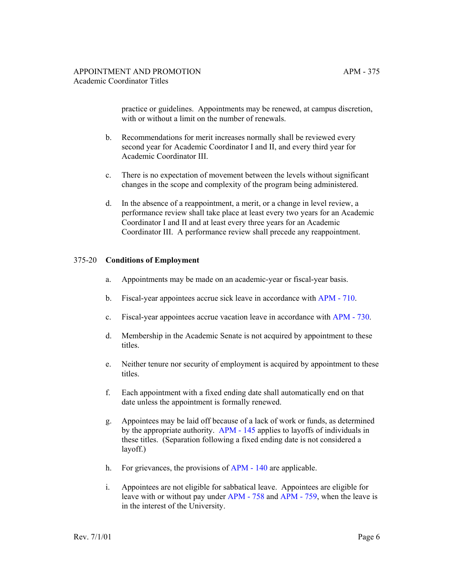practice or guidelines. Appointments may be renewed, at campus discretion, with or without a limit on the number of renewals.

- b. Recommendations for merit increases normally shall be reviewed every second year for Academic Coordinator I and II, and every third year for Academic Coordinator III.
- c. There is no expectation of movement between the levels without significant changes in the scope and complexity of the program being administered.
- d. In the absence of a reappointment, a merit, or a change in level review, a performance review shall take place at least every two years for an Academic Coordinator I and II and at least every three years for an Academic Coordinator III. A performance review shall precede any reappointment.

#### 375-20 **Conditions of Employment**

- a. Appointments may be made on an academic-year or fiscal-year basis.
- b. Fiscal-year appointees accrue sick leave in accordance with [APM 710](http://ucop.edu/academic-personnel-programs/_files/apm/apm-710.pdf).
- c. Fiscal-year appointees accrue vacation leave in accordance with [APM 730](http://ucop.edu/academic-personnel-programs/_files/apm/apm-730.pdf).
- d. Membership in the Academic Senate is not acquired by appointment to these titles.
- e. Neither tenure nor security of employment is acquired by appointment to these titles.
- f. Each appointment with a fixed ending date shall automatically end on that date unless the appointment is formally renewed.
- g. Appointees may be laid off because of a lack of work or funds, as determined by the appropriate authority. [APM - 145](http://ucop.edu/academic-personnel-programs/_files/apm/apm-145.pdf) applies to layoffs of individuals in these titles. (Separation following a fixed ending date is not considered a layoff.)
- h. For grievances, the provisions of [APM 140](http://ucop.edu/academic-personnel-programs/_files/apm/apm-140.pdf) are applicable.
- i. Appointees are not eligible for sabbatical leave. Appointees are eligible for leave with or without pay under [APM - 758](http://ucop.edu/academic-personnel-programs/_files/apm/apm-140.pdf) and [APM - 759](http://ucop.edu/academic-personnel-programs/_files/apm/apm-759.pdf), when the leave is in the interest of the University.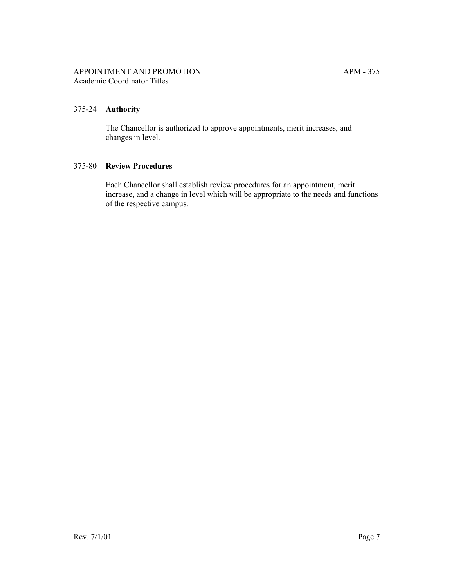## 375-24 **Authority**

The Chancellor is authorized to approve appointments, merit increases, and changes in level.

## 375-80 **Review Procedures**

Each Chancellor shall establish review procedures for an appointment, merit increase, and a change in level which will be appropriate to the needs and functions of the respective campus.